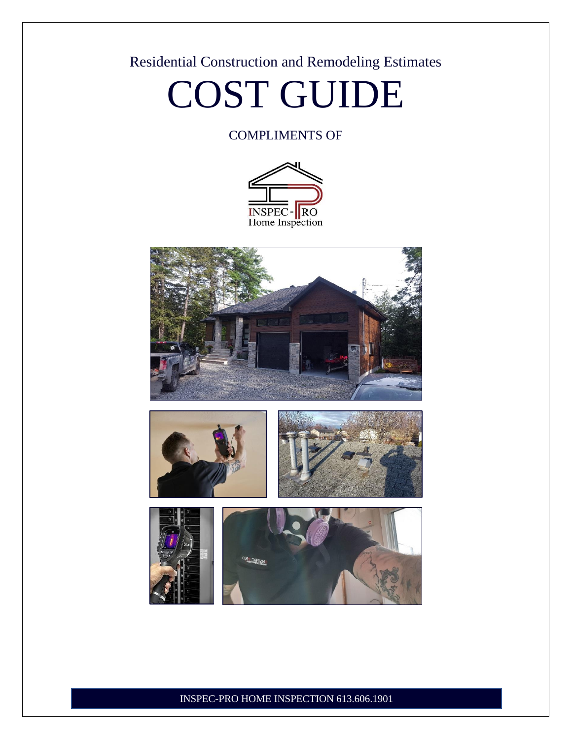### Residential Construction and Remodeling Estimates

### COST GUIDE

#### COMPLIMENTS OF







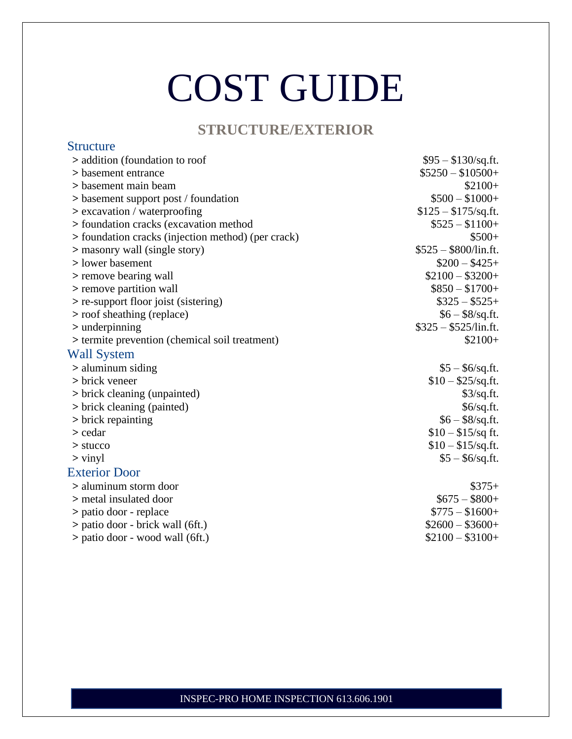#### **STRUCTURE/EXTERIOR**

Structure

| > addition (foundation to roof                     | $$95 - $130/\text{sq.fit}.$ |
|----------------------------------------------------|-----------------------------|
| > basement entrance                                | $$5250 - $10500+$           |
| > basement main beam                               | $$2100+$                    |
| > basement support post / foundation               | $$500 - $1000+$             |
| > excavation / waterproofing                       | $$125 - $175$ /sq.ft.       |
| > foundation cracks (excavation method             | $$525 - $1100+$             |
| > foundation cracks (injection method) (per crack) | $$500+$                     |
| > masonry wall (single story)                      | $$525 - $800$ /lin.ft.      |
| > lower basement                                   | $$200 - $425+$              |
| > remove bearing wall                              | $$2100 - $3200+$            |
| > remove partition wall                            | $$850 - $1700+$             |
| > re-support floor joist (sistering)               | $\$325-\$525+$              |
| > roof sheathing (replace)                         | $$6 - $8$ /sq.ft.           |
| $>$ underpinning                                   | $$325 - $525$ /lin.ft.      |
| > termite prevention (chemical soil treatment)     | $$2100+$                    |
| <b>Wall System</b>                                 |                             |
| $>$ aluminum siding                                | $$5 - $6$ /sq.ft.           |
| > brick veneer                                     | $$10 - $25$ /sq.ft.         |
| > brick cleaning (unpainted)                       | \$3/sq.fit.                 |
| > brick cleaning (painted)                         | \$6/sq.fit.                 |
| > brick repainting                                 | $$6 - $8$ /sq.ft.           |
| > cedar                                            | $$10 - $15$ /sq ft.         |
| $>$ stucco                                         | $$10 - $15$ /sq.ft.         |
| $>$ vinyl                                          | $$5 - $6$ /sq.ft.           |
| <b>Exterior Door</b>                               |                             |
| > aluminum storm door                              | $$375+$                     |
| > metal insulated door                             | $$675 - $800+$              |
| > patio door - replace                             | $$775 - $1600+$             |
| > patio door - brick wall (6ft.)                   | $$2600 - $3600+$            |
| > patio door - wood wall (6ft.)                    | $$2100 - $3100+$            |
|                                                    |                             |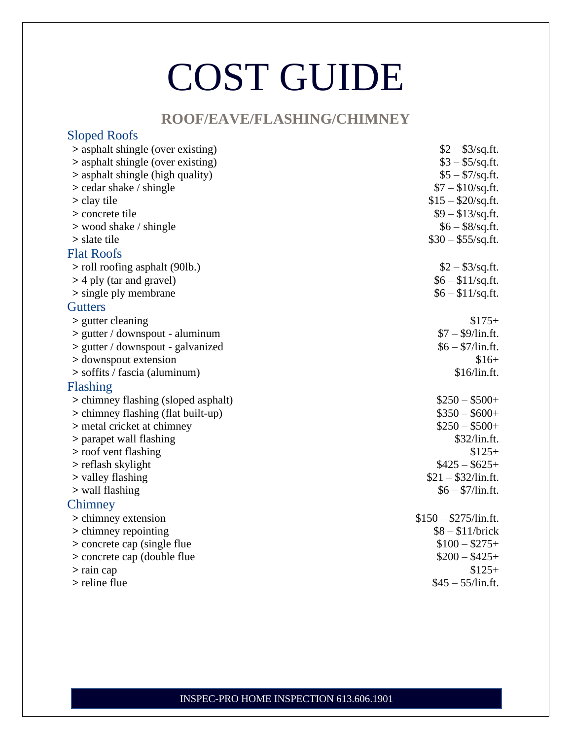#### **ROOF/EAVE/FLASHING/CHIMNEY**

| <b>Sloped Roofs</b>                 |                        |
|-------------------------------------|------------------------|
| > asphalt shingle (over existing)   | $$2 - $3$ /sq.ft.      |
| > asphalt shingle (over existing)   | $$3 - $5$ /sq.ft.      |
| > asphalt shingle (high quality)    | $$5 - $7/sq.ft.$       |
| $>$ cedar shake / shingle           | $$7 - $10/sq.$ ft.     |
| $>$ clay tile                       | $$15 - $20/sq.fit.$    |
| > concrete tile                     | $$9 - $13$ /sq.ft.     |
| > wood shake / shingle              | $$6 - $8$ /sq.ft.      |
| $>$ slate tile                      | $$30 - $55$ /sq.ft.    |
| <b>Flat Roofs</b>                   |                        |
| > roll roofing asphalt (90lb.)      | $$2 - $3$ /sq.ft.      |
| > 4 ply (tar and gravel)            | $$6 - $11$ /sq.ft.     |
| > single ply membrane               | $$6 - $11/sq.$ ft.     |
| <b>Gutters</b>                      |                        |
| > gutter cleaning                   | $$175+$                |
| $>$ gutter / downspout - aluminum   | $$7 - $9/$ lin.ft.     |
| > gutter / downspout - galvanized   | $$6 - $7/$ lin.ft.     |
| > downspout extension               | $$16+$                 |
| $>$ soffits / fascia (aluminum)     | \$16/lin.ft.           |
| Flashing                            |                        |
| > chimney flashing (sloped asphalt) | $$250 - $500+$         |
| > chimney flashing (flat built-up)  | $$350 - $600+$         |
| > metal cricket at chimney          | $$250 - $500+$         |
| > parapet wall flashing             | \$32/lin.ft.           |
| > roof vent flashing                | $$125+$                |
| > reflash skylight                  | $$425 - $625+$         |
| > valley flashing                   | $$21 - $32$ /lin.ft.   |
| > wall flashing                     | $$6 - $7/$ lin.ft.     |
| Chimney                             |                        |
| > chimney extension                 | $$150 - $275$ /lin.ft. |
| > chimney repointing                | $$8 - $11/b$ rick      |
| > concrete cap (single flue)        | $$100 - $275+$         |
| > concrete cap (double flue)        | $$200 - $425+$         |
| $>$ rain cap                        | $$125+$                |
| > reline flue                       | $$45 - 55$ /lin.ft.    |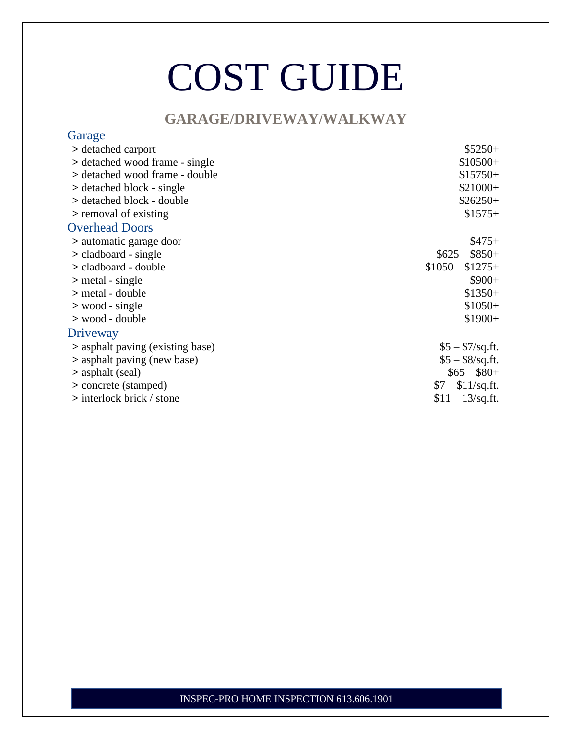#### **GARAGE/DRIVEWAY/WALKWAY**

| Garage                           |                    |
|----------------------------------|--------------------|
| > detached carport               | $$5250+$           |
| > detached wood frame - single   | $$10500+$          |
| Setached wood frame - double     | $$15750+$          |
| > detached block - single        | $$21000+$          |
| Setached block - double          | $$26250+$          |
| > removal of existing            | $$1575+$           |
| <b>Overhead Doors</b>            |                    |
| > automatic garage door          | $$475+$            |
| $>$ cladboard - single           | $$625 - $850+$     |
| > cladboard - double             | $$1050 - $1275+$   |
| $>$ metal - single               | $$900+$            |
| > metal - double                 | $$1350+$           |
| $>$ wood - single                | $$1050+$           |
| $>$ wood - double                | $$1900+$           |
| Driveway                         |                    |
| > asphalt paving (existing base) | $$5 - $7/sq.ft.$   |
| > asphalt paving (new base)      | $$5 - $8$ /sq.ft.  |
| > asphalt (seal)                 | $$65 - $80+$       |
| > concrete (stamped)             | $$7 - $11$ /sq.ft. |
| $>$ interlock brick / stone      | $$11 - 13$ /sq.ft. |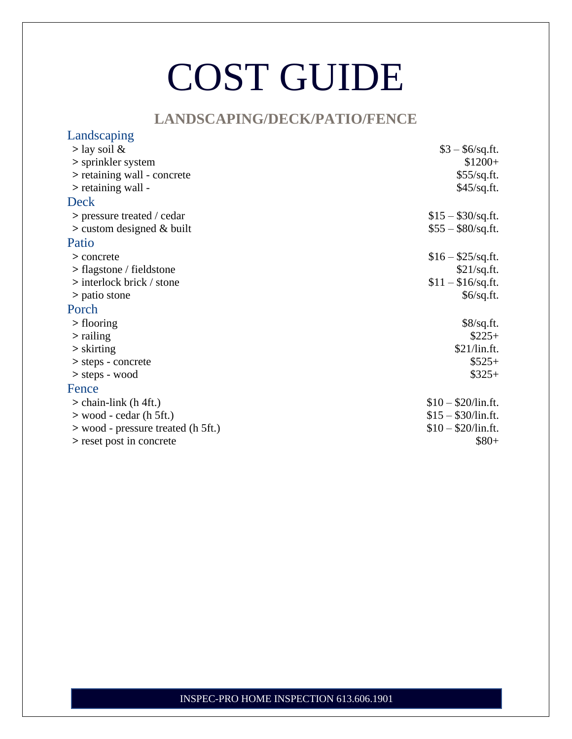#### **LANDSCAPING/DECK/PATIO/FENCE**

| Landscaping                        |                            |
|------------------------------------|----------------------------|
| $>$ lay soil &                     | $$3 - $6$ /sq.ft.          |
| > sprinkler system                 | $$1200+$                   |
| > retaining wall - concrete        | \$55/sq.fit.               |
| $>$ retaining wall -               | \$45/sq.fit.               |
| Deck                               |                            |
| $>$ pressure treated / cedar       | $$15 - $30$ /sq.ft.        |
| $>$ custom designed & built        | $$55 - $80/\text{sq.fit}.$ |
| Patio                              |                            |
| > concrete                         | $$16 - $25$ /sq.ft.        |
| $>$ flagstone / fieldstone         | \$21/sq.fr.                |
| $>$ interlock brick / stone        | $$11 - $16$ /sq.ft.        |
| > patio stone                      | \$6/sq.fit.                |
| Porch                              |                            |
| $>$ flooring                       | \$8/sq.fit.                |
| $>$ railing                        | $$225+$                    |
| $\frac{\text{skirting}}{\text{S}}$ | \$21/lin.fit.              |
| > steps - concrete                 | $$525+$                    |
| $>$ steps - wood                   | $$325+$                    |
| Fence                              |                            |
| $>$ chain-link (h 4ft.)            | $$10 - $20$ /lin.ft.       |
| $>$ wood - cedar (h 5ft.)          | $$15 - $30$ /lin.ft.       |
| > wood - pressure treated (h 5ft.) | $$10 - $20$ /lin.ft.       |
| > reset post in concrete           | $$80+$                     |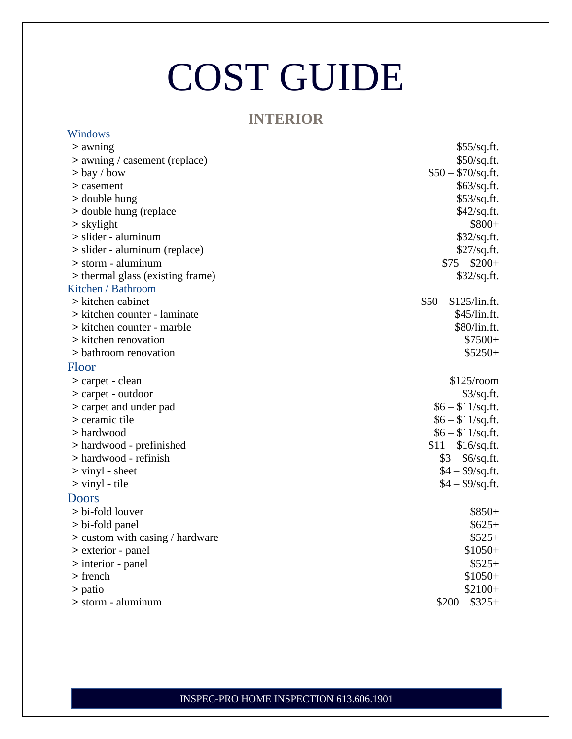#### **INTERIOR**

| Windows                           |                       |
|-----------------------------------|-----------------------|
| $>$ awning                        | \$55/sq.fit.          |
| $>$ awning / casement (replace)   | \$50/sq.fit.          |
| $>$ bay / bow                     | $$50 - $70/sq.$ ft.   |
| > casement                        | \$63/sq.ft.           |
| > double hung                     | \$53/sq.ft.           |
| > double hung (replace)           | \$42/sq.fr.           |
| $>$ skylight                      | $$800+$               |
| > slider - aluminum               | \$32/sq.ft.           |
| > slider - aluminum (replace)     | \$27/sq.fit.          |
| $>$ storm - aluminum              | $$75 - $200+$         |
| > thermal glass (existing frame)  | \$32/sq.fit.          |
| Kitchen / Bathroom                |                       |
| > kitchen cabinet                 | $$50 - $125$ /lin.ft. |
| > kitchen counter - laminate      | \$45/lin.ft.          |
| > kitchen counter - marble        | \$80/lin.ft.          |
| > kitchen renovation              | $$7500+$              |
| > bathroom renovation             | $$5250+$              |
| Floor                             |                       |
| > carpet - clean                  | $$125$ /room          |
| $>$ carpet - outdoor              | \$3/sq.fit.           |
| > carpet and under pad            | $$6 - $11$ /sq.ft.    |
| > ceramic tile                    | $$6 - $11$ /sq.ft.    |
| > hardwood                        | $$6 - $11$ /sq.ft.    |
| > hardwood - prefinished          | $$11 - $16$ /sq.ft.   |
| > hardwood - refinish             | $$3 - $6$ /sq.ft.     |
| $>$ vinyl - sheet                 | $$4 - $9$ /sq.ft.     |
| $>$ vinyl - tile                  | $$4 - $9$ /sq.ft.     |
| <b>Doors</b>                      |                       |
| > bi-fold louver                  | $$850+$               |
| $> bi$ -fold panel                | $$625+$               |
| $>$ custom with casing / hardware | $$525+$               |
| > exterior - panel                | $$1050+$              |
| $>$ interior - panel              | $$525+$               |
|                                   |                       |
| $>$ french                        | $$1050+$              |
| > patio                           | $$2100+$              |
| $>$ storm - aluminum              | $$200 - $325+$        |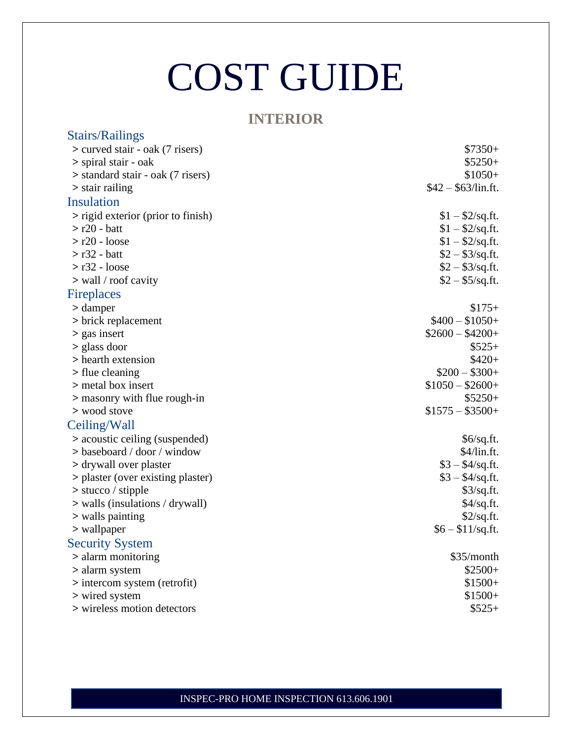#### **INTERIOR**

| <b>Stairs/Railings</b>             |                      |
|------------------------------------|----------------------|
| > curved stair - oak (7 risers)    | $$7350+$             |
| > spiral stair - oak               | $$5250+$             |
| Standard stair - oak (7 risers)    | $$1050+$             |
| $\geq$ stair railing               | $$42 - $63$ /lin.ft. |
| Insulation                         |                      |
| > rigid exterior (prior to finish) | $$1 - $2$ /sq.ft.    |
| $>$ r20 - batt                     | $$1 - $2$ /sq.ft.    |
| $> r20$ - loose                    | $$1 - $2$ /sq.ft.    |
| $> r32 - batt$                     | $$2 - $3$ /sq.ft.    |
| $> r32 - loose$                    | $$2 - $3$ /sq.ft.    |
| $>$ wall / roof cavity             | $$2 - $5/sq.$ ft.    |
| <b>Fireplaces</b>                  |                      |
| > damper                           | $$175+$              |
| > brick replacement                | $$400 - $1050+$      |
| > gas insert                       | $$2600 - $4200+$     |
| $>$ glass door                     | $$525+$              |
| > hearth extension                 | $$420+$              |
| > flue cleaning                    | $$200 - $300+$       |
| > metal box insert                 | $$1050 - $2600+$     |
| > masonry with flue rough-in       | $$5250+$             |
| > wood stove                       | $$1575 - $3500+$     |
| Ceiling/Wall                       |                      |
| > acoustic ceiling (suspended)     | \$6/sq.fit.          |
| $>$ baseboard / door / window      | \$4/lin.fit.         |
| > drywall over plaster             | $$3 - $4/sq.ft.$     |
| > plaster (over existing plaster)  | $$3 - $4/sq.ft.$     |
| $>$ stucco / stipple               | \$3/sq.fit.          |
| $>$ walls (insulations / drywall)  | $$4$ /sq.ft.         |
| > walls painting                   | \$2/sq.fit.          |
| > wallpaper                        | $$6 - $11$ /sq.ft.   |
| <b>Security System</b>             |                      |
| > alarm monitoring                 | \$35/month           |
| > alarm system                     | $$2500+$             |
| > intercom system (retrofit)       | $$1500+$             |
| > wired system                     | $$1500+$             |
| > wireless motion detectors        | $$525+$              |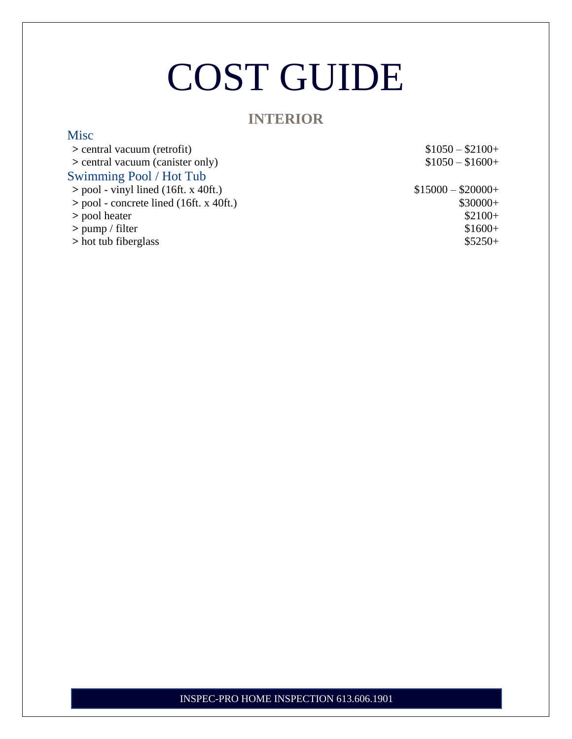#### **INTERIOR**

**Misc** 

| > central vacuum (retrofit)               | $$1050 - $2100+$   |
|-------------------------------------------|--------------------|
| > central vacuum (canister only)          | $$1050 - $1600+$   |
| Swimming Pool / Hot Tub                   |                    |
| $>$ pool - vinyl lined (16ft. x 40ft.)    | $$15000 - $20000+$ |
| $>$ pool - concrete lined (16ft. x 40ft.) | $$30000+$          |
| > pool heater                             | $$2100+$           |
| $>$ pump / filter                         | $$1600+$           |
| > hot tub fiberglass                      | $$5250+$           |
|                                           |                    |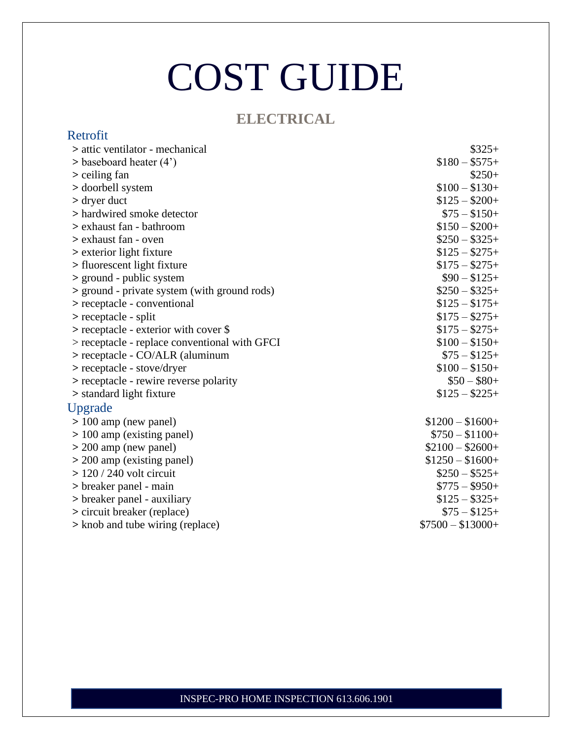### **ELECTRICAL**

| Retrofit                                      |                   |
|-----------------------------------------------|-------------------|
| > attic ventilator - mechanical               | $$325+$           |
| $>$ baseboard heater (4')                     | $$180 - $575+$    |
| > ceiling fan                                 | $$250+$           |
| > doorbell system                             | $$100 - $130+$    |
| $>$ dryer duct                                | $$125 - $200+$    |
| > hardwired smoke detector                    | $$75 - $150+$     |
| > exhaust fan - bathroom                      | $$150 - $200+$    |
| > exhaust fan - oven                          | $$250 - $325+$    |
| > exterior light fixture                      | $$125 - $275+$    |
| > fluorescent light fixture                   | $$175 - $275 +$   |
| > ground - public system                      | $$90 - $125+$     |
| > ground - private system (with ground rods)  | $$250 - $325+$    |
| > receptacle - conventional                   | $$125 - $175+$    |
| $>$ receptacle - split                        | $$175 - $275 +$   |
| > receptacle - exterior with cover \$         | $$175 - $275 +$   |
| > receptacle - replace conventional with GFCI | $$100 - $150+$    |
| > receptacle - CO/ALR (aluminum               | $$75 - $125+$     |
| > receptacle - stove/dryer                    | $$100 - $150+$    |
| > receptacle - rewire reverse polarity        | $$50 - $80+$      |
| > standard light fixture                      | $$125 - $225 +$   |
| Upgrade                                       |                   |
| $> 100$ amp (new panel)                       | $$1200 - $1600+$  |
| $> 100$ amp (existing panel)                  | $$750 - $1100+$   |
| $>$ 200 amp (new panel)                       | $$2100 - $2600+$  |
| $>$ 200 amp (existing panel)                  | $$1250 - $1600+$  |
| $>$ 120 / 240 volt circuit                    | $$250 - $525+$    |
| > breaker panel - main                        | $$775 - $950+$    |
| > breaker panel - auxiliary                   | $$125 - $325+$    |
| > circuit breaker (replace)                   | $$75 - $125+$     |
| > knob and tube wiring (replace)              | $$7500 - $13000+$ |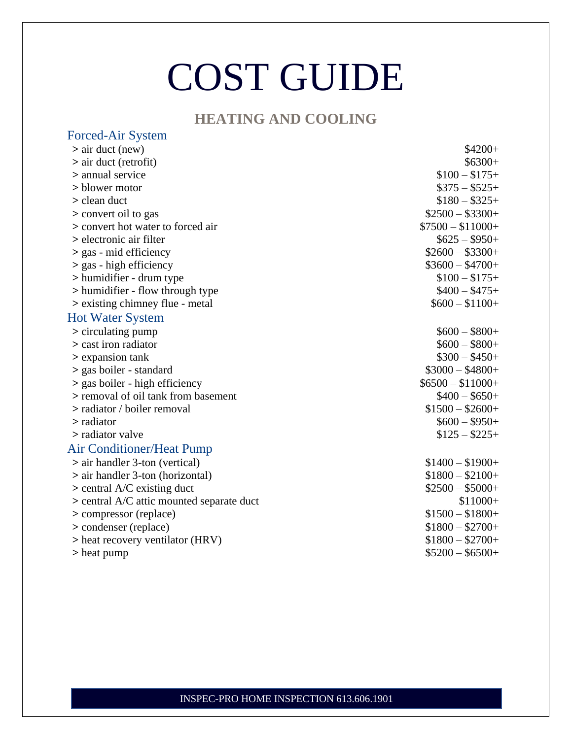### **HEATING AND COOLING**

| Forced-Air System                         |                   |
|-------------------------------------------|-------------------|
| $>$ air duct (new)                        | $$4200+$          |
| $>$ air duct (retrofit)                   | $$6300+$          |
| > annual service                          | $$100 - $175+$    |
| > blower motor                            | $\$375-\$525+$    |
| > clean duct                              | $$180 - $325+$    |
| > convert oil to gas                      | $$2500 - $3300+$  |
| > convert hot water to forced air         | $$7500 - $11000+$ |
| > electronic air filter                   | $$625 - $950+$    |
| $>$ gas - mid efficiency                  | $$2600 - $3300+$  |
| $>$ gas - high efficiency                 | $$3600 - $4700+$  |
| > humidifier - drum type                  | $$100 - $175+$    |
| > humidifier - flow through type          | $$400 - $475+$    |
| > existing chimney flue - metal           | $$600 - $1100+$   |
| <b>Hot Water System</b>                   |                   |
| > circulating pump                        | $$600 - $800+$    |
| > cast iron radiator                      | $$600 - $800+$    |
| > expansion tank                          | $$300 - $450+$    |
| > gas boiler - standard                   | $$3000 - $4800+$  |
| > gas boiler - high efficiency            | $$6500 - $11000+$ |
| > removal of oil tank from basement       | $$400 - $650+$    |
| > radiator / boiler removal               | $$1500 - $2600+$  |
| > radiator                                | $$600 - $950+$    |
| > radiator valve                          | $$125 - $225 +$   |
| <b>Air Conditioner/Heat Pump</b>          |                   |
| $>$ air handler 3-ton (vertical)          | $$1400 - $1900 +$ |
| $>$ air handler 3-ton (horizontal)        | $$1800 - $2100+$  |
| $>$ central A/C existing duct             | $$2500 - $5000+$  |
| > central A/C attic mounted separate duct | $$11000+$         |
| > compressor (replace)                    | $$1500 - $1800+$  |
| > condenser (replace)                     | $$1800 - $2700+$  |
| > heat recovery ventilator (HRV)          | $$1800 - $2700+$  |
| > heat pump                               | $$5200 - $6500+$  |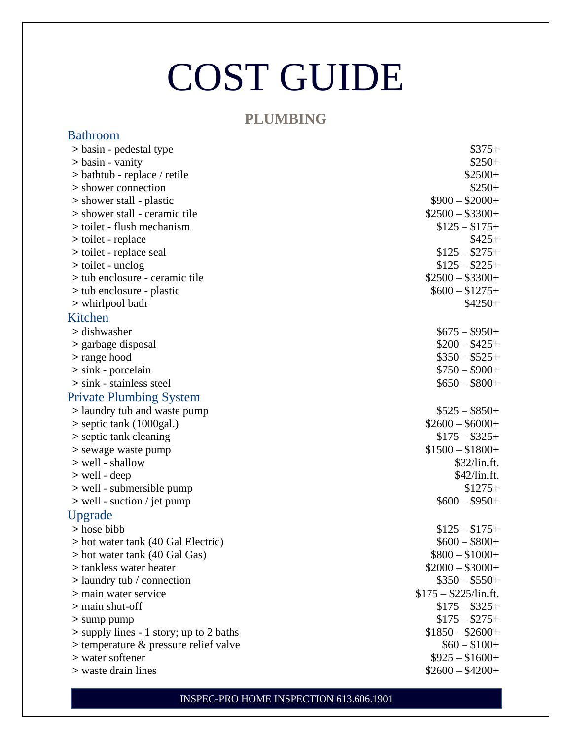#### **PLUMBING**

| <b>Bathroom</b>                            |                        |
|--------------------------------------------|------------------------|
| > basin - pedestal type                    | $\$375+$               |
| $>$ basin - vanity                         | $$250+$                |
| $>$ bathtub - replace / retile             | $$2500+$               |
| > shower connection                        | $$250+$                |
| > shower stall - plastic                   | $$900 - $2000 +$       |
| > shower stall - ceramic tile              | $$2500 - $3300+$       |
| > toilet - flush mechanism                 | $$125 - $175+$         |
| > toilet - replace                         | $$425+$                |
| is to ilet - replace seal                  | $$125 - $275+$         |
| $>$ toilet - unclog                        | $$125 - $225 +$        |
| > tub enclosure - ceramic tile             | $$2500 - $3300+$       |
| > tub enclosure - plastic                  | $$600 - $1275+$        |
| > whirlpool bath                           | $$4250+$               |
| Kitchen                                    |                        |
| > dishwasher                               | $$675 - $950+$         |
| > garbage disposal                         | $\$200 - \$425+$       |
| > range hood                               | $\$350-\$525+$         |
| $>$ sink - porcelain                       | $$750 - $900+$         |
| $>$ sink - stainless steel                 | $$650 - $800+$         |
| <b>Private Plumbing System</b>             |                        |
| > laundry tub and waste pump               | $$525 - $850+$         |
| $>$ septic tank (1000gal.)                 | $$2600 - $6000+$       |
| > septic tank cleaning                     | $$175 - $325+$         |
| > sewage waste pump                        | $$1500 - $1800 +$      |
| > well - shallow                           | \$32/lin.ft.           |
| $>$ well - deep                            | $$42$ /lin.ft.         |
| > well - submersible pump                  | $$1275+$               |
| $>$ well - suction / jet pump              | $$600 - $950+$         |
| Upgrade                                    |                        |
| > hose bibb                                | $$125 - $175+$         |
| > hot water tank (40 Gal Electric)         | $$600 - $800+$         |
| > hot water tank (40 Gal Gas)              | $$800 - $1000+$        |
| > tankless water heater                    | $$2000 - $3000+$       |
| > laundry tub / connection                 | $$350 - $550+$         |
| > main water service                       | $$175 - $225$ /lin.ft. |
| $>$ main shut-off                          | $$175 - $325+$         |
| $>$ sump pump                              | $$175 - $275+$         |
| $>$ supply lines - 1 story; up to 2 baths  | $$1850 - $2600+$       |
| $>$ temperature $\&$ pressure relief valve | $$60 - $100+$          |
| > water softener                           | $$925 - $1600+$        |
| > waste drain lines                        | $$2600 - $4200+$       |